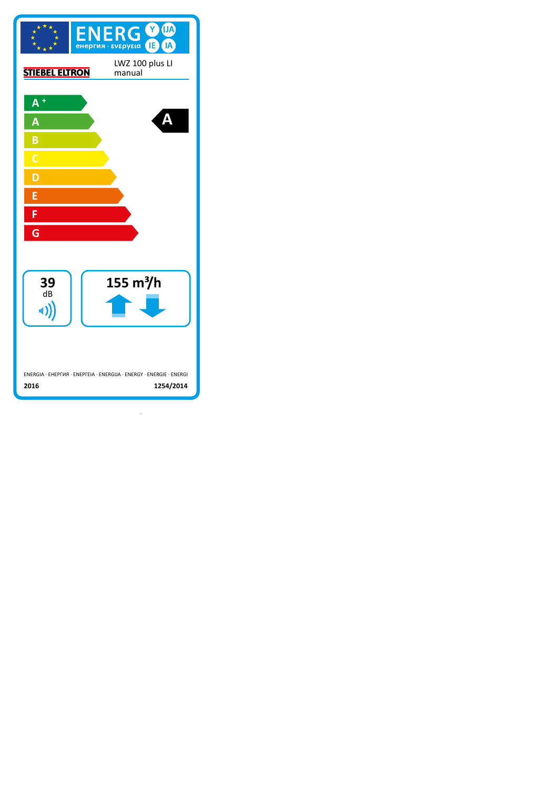